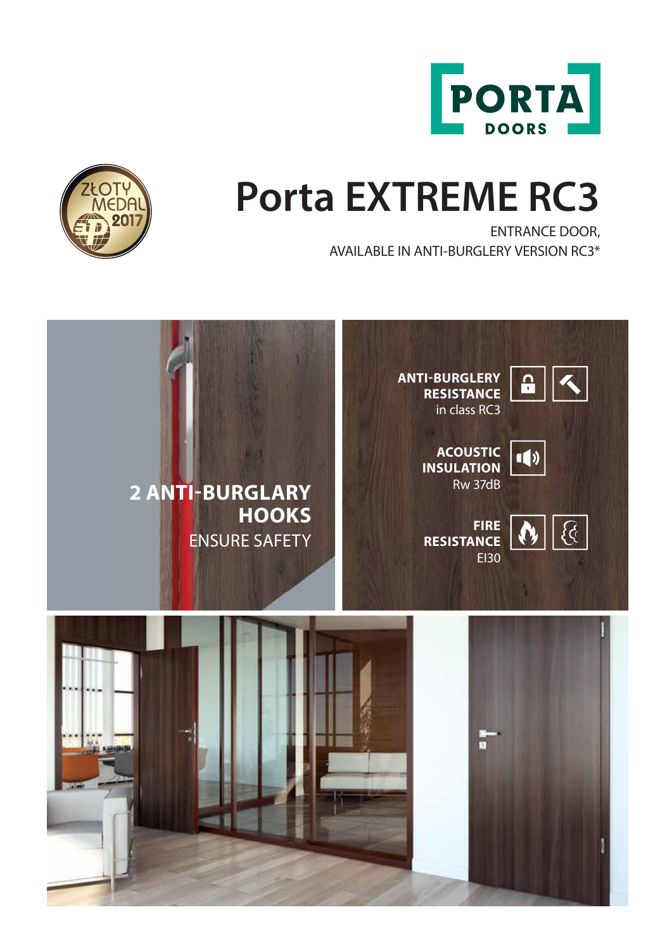



ENTRANCE DOOR, AVAILABLE IN ANTI-BURGLERY VERSION RC3\*



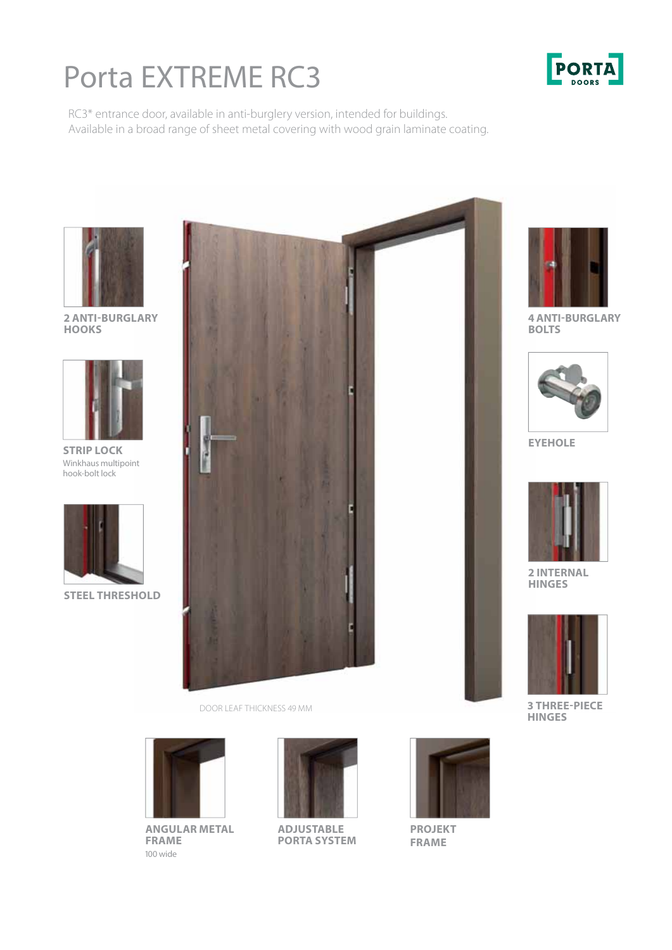# Porta EXTREME RC3

**PORTA** 

RC3\* entrance door, available in anti-burglery version, intended for buildings. Available in a broad range of sheet metal covering with wood grain laminate coating.



**2 ANTI-BURGLARY HOOKS**



**STRIP LOCK** Winkhaus multipoint hook-bolt lock



**STEEL THRESHOLD**



DOOR LEAF THICKNESS 49 MM



**ANGULAR METAL FRAME**  100 wide



**ADJUSTABLE PORTA SYSTEM**



**PROJEKT FRAME**



**4 ANTI-BURGLARY BOLTS**



**EYEHOLE**



**2 INTERNAL HINGES**



**3 THREE-PIECE HINGES**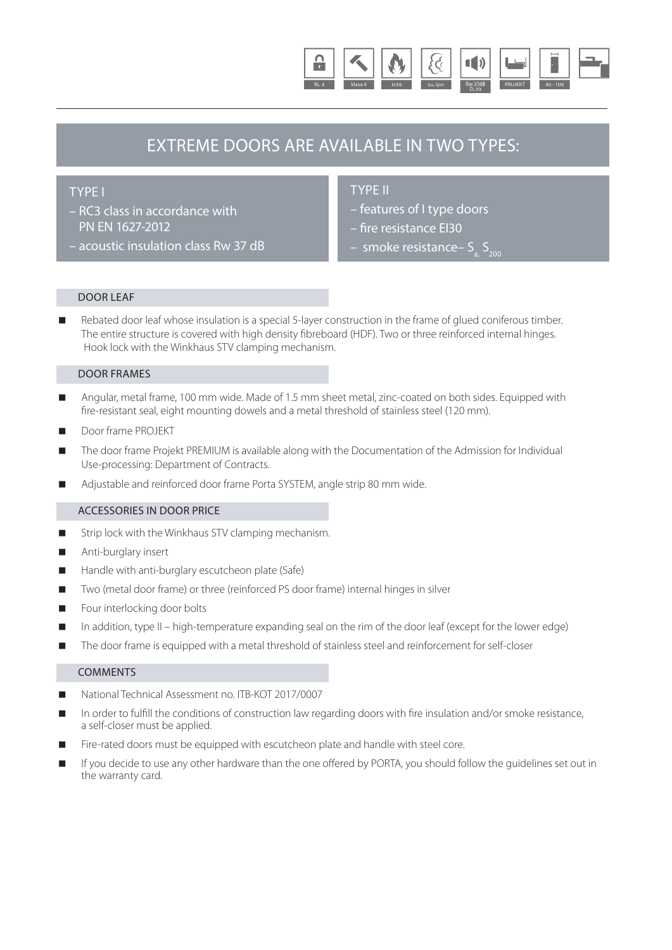

### EXTREME DOORS ARE AVAILABLE IN TWO TYPES:

### TYPE I

- RC3 class in accordance with PN EN 1627-2012
- acoustic insulation class Rw 37 dB

### TYPE II

- features of I type doors
- fire resistance EI30
- smoke resistance–  $S_{200}$

### DOOR LEAF

 Rebated door leaf whose insulation is a special 5-layer construction in the frame of glued coniferous timber. The entire structure is covered with high density fibreboard (HDF). Two or three reinforced internal hinges. Hook lock with the Winkhaus STV clamping mechanism.

#### DOOR FRAMES

- Angular, metal frame, 100 mm wide. Made of 1.5 mm sheet metal, zinc-coated on both sides. Equipped with fire-resistant seal, eight mounting dowels and a metal threshold of stainless steel (120 mm).
- Door frame PROJEKT
- The door frame Projekt PREMIUM is available along with the Documentation of the Admission for Individual Use-processing: Department of Contracts.
- Adjustable and reinforced door frame Porta SYSTEM, angle strip 80 mm wide.

### ACCESSORIES IN DOOR PRICE

- Strip lock with the Winkhaus STV clamping mechanism.
- Anti-burglary insert
- Handle with anti-burglary escutcheon plate (Safe)
- Two (metal door frame) or three (reinforced PS door frame) internal hinges in silver
- Four interlocking door bolts
- In addition, type II high-temperature expanding seal on the rim of the door leaf (except for the lower edge)
- The door frame is equipped with a metal threshold of stainless steel and reinforcement for self-closer

### **COMMENTS**

- National Technical Assessment no. ITB-KOT 2017/0007
- In order to fulfill the conditions of construction law regarding doors with fire insulation and/or smoke resistance, a self-closer must be applied.
- Fire-rated doors must be equipped with escutcheon plate and handle with steel core.
- If you decide to use any other hardware than the one offered by PORTA, you should follow the quidelines set out in the warranty card.